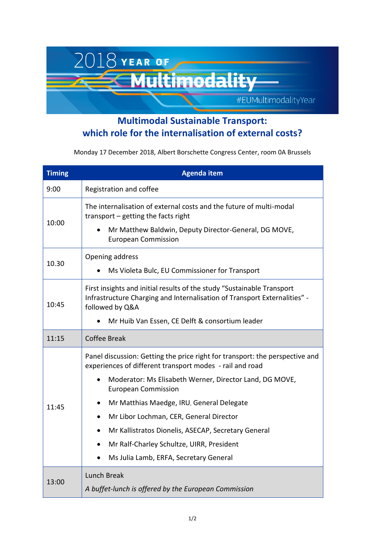

## **Multimodal Sustainable Transport: which role for the internalisation of external costs?**

Monday 17 December 2018, Albert Borschette Congress Center, room 0A Brussels

| <b>Timing</b> | <b>Agenda item</b>                                                                                                                                                     |
|---------------|------------------------------------------------------------------------------------------------------------------------------------------------------------------------|
| 9:00          | Registration and coffee                                                                                                                                                |
| 10:00         | The internalisation of external costs and the future of multi-modal<br>transport $-$ getting the facts right                                                           |
|               | Mr Matthew Baldwin, Deputy Director-General, DG MOVE,<br><b>European Commission</b>                                                                                    |
| 10.30         | Opening address                                                                                                                                                        |
|               | Ms Violeta Bulc, EU Commissioner for Transport                                                                                                                         |
| 10:45         | First insights and initial results of the study "Sustainable Transport<br>Infrastructure Charging and Internalisation of Transport Externalities" -<br>followed by Q&A |
|               | Mr Huib Van Essen, CE Delft & consortium leader                                                                                                                        |
| 11:15         | <b>Coffee Break</b>                                                                                                                                                    |
| 11:45         | Panel discussion: Getting the price right for transport: the perspective and<br>experiences of different transport modes - rail and road                               |
|               | Moderator: Ms Elisabeth Werner, Director Land, DG MOVE,<br><b>European Commission</b>                                                                                  |
|               | Mr Matthias Maedge, IRU, General Delegate                                                                                                                              |
|               | Mr Libor Lochman, CER, General Director                                                                                                                                |
|               | Mr Kallistratos Dionelis, ASECAP, Secretary General                                                                                                                    |
|               | Mr Ralf-Charley Schultze, UIRR, President                                                                                                                              |
|               | Ms Julia Lamb, ERFA, Secretary General                                                                                                                                 |
| 13:00         | <b>Lunch Break</b>                                                                                                                                                     |
|               | A buffet-lunch is offered by the European Commission                                                                                                                   |